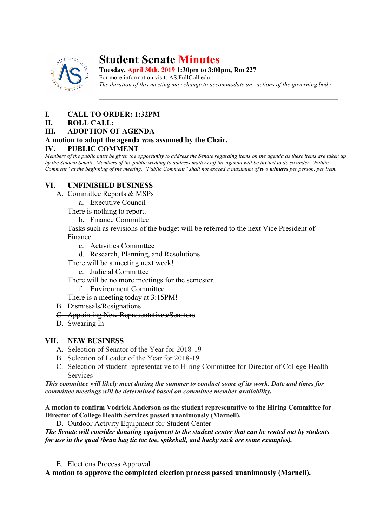

# **Student Senate Minutes**

**Tuesday, April 30th, 2019 1:30pm to 3:00pm, Rm 227**

For more information visit: AS.FullColl.edu *The duration of this meeting may change to accommodate any actions of the governing body*

# **I. CALL TO ORDER: 1:32PM**

#### **II. ROLL CALL:**

#### **III. ADOPTION OF AGENDA**

# **A motion to adopt the agenda was assumed by the Chair.**

#### **IV. PUBLIC COMMENT**

*Members of the public must be given the opportunity to address the Senate regarding items on the agenda as these items are taken up by the Student Senate. Members of the public wishing to address matters off the agenda will be invited to do so under "Public Comment" at the beginning of the meeting. "Public Comment" shall not exceed a maximum of two minutes per person, per item.*

# **VI. UNFINISHED BUSINESS**

- A. Committee Reports & MSPs
	- a. Executive Council

There is nothing to report.

b. Finance Committee

Tasks such as revisions of the budget will be referred to the next Vice President of Finance.

- c. Activities Committee
- d. Research, Planning, and Resolutions
- There will be a meeting next week!
	- e. Judicial Committee

There will be no more meetings for the semester.

f. Environment Committee

There is a meeting today at 3:15PM!

- B. Dismissals/Resignations
- C. Appointing New Representatives/Senators
- D. Swearing In

# **VII. NEW BUSINESS**

- A. Selection of Senator of the Year for 2018-19
- B. Selection of Leader of the Year for 2018-19
- C. Selection of student representative to Hiring Committee for Director of College Health Services

*This committee will likely meet during the summer to conduct some of its work. Date and times for committee meetings will be determined based on committee member availability.*

**A motion to confirm Vodrick Anderson as the student representative to the Hiring Committee for Director of College Health Services passed unanimously (Marnell).**

D. Outdoor Activity Equipment for Student Center

*The Senate will consider donating equipment to the student center that can be rented out by students for use in the quad (bean bag tic tac toe, spikeball, and hacky sack are some examples).*

E. Elections Process Approval

**A motion to approve the completed election process passed unanimously (Marnell).**